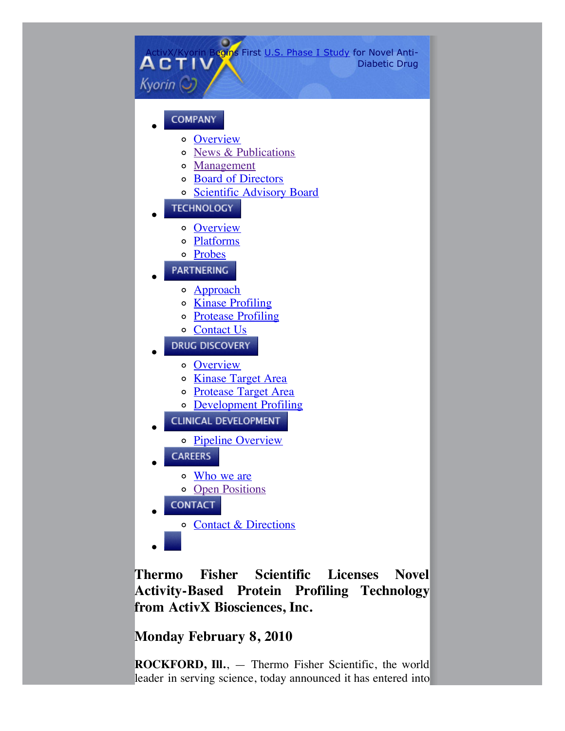

**Thermo Fisher Scientific Licenses Novel Activity-Based Protein Profiling Technology from ActivX Biosciences, Inc.**

**Monday February 8, 2010**

**ROCKFORD, Ill.**, — Thermo Fisher Scientific, the world leader in serving science, today announced it has entered into